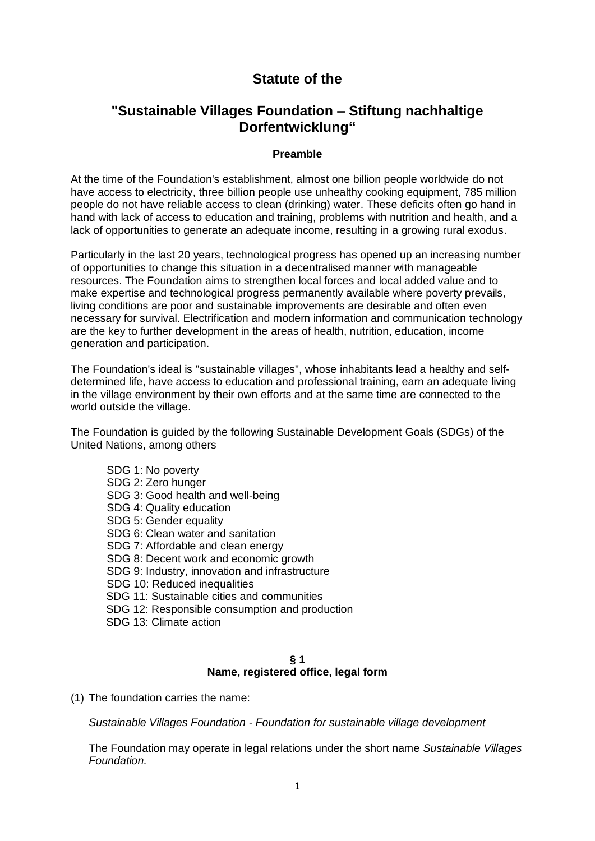# **Statute of the**

## **"Sustainable Villages Foundation – Stiftung nachhaltige Dorfentwicklung"**

#### **Preamble**

At the time of the Foundation's establishment, almost one billion people worldwide do not have access to electricity, three billion people use unhealthy cooking equipment, 785 million people do not have reliable access to clean (drinking) water. These deficits often go hand in hand with lack of access to education and training, problems with nutrition and health, and a lack of opportunities to generate an adequate income, resulting in a growing rural exodus.

Particularly in the last 20 years, technological progress has opened up an increasing number of opportunities to change this situation in a decentralised manner with manageable resources. The Foundation aims to strengthen local forces and local added value and to make expertise and technological progress permanently available where poverty prevails, living conditions are poor and sustainable improvements are desirable and often even necessary for survival. Electrification and modern information and communication technology are the key to further development in the areas of health, nutrition, education, income generation and participation.

The Foundation's ideal is "sustainable villages", whose inhabitants lead a healthy and selfdetermined life, have access to education and professional training, earn an adequate living in the village environment by their own efforts and at the same time are connected to the world outside the village.

The Foundation is guided by the following Sustainable Development Goals (SDGs) of the United Nations, among others

SDG 1: No poverty SDG 2: Zero hunger SDG 3: Good health and well-being SDG 4: Quality education SDG 5: Gender equality SDG 6: Clean water and sanitation SDG 7: Affordable and clean energy SDG 8: Decent work and economic growth SDG 9: Industry, innovation and infrastructure SDG 10: Reduced inequalities SDG 11: Sustainable cities and communities SDG 12: Responsible consumption and production SDG 13: Climate action

#### **§ 1 Name, registered office, legal form**

(1) The foundation carries the name:

*Sustainable Villages Foundation - Foundation for sustainable village development*

The Foundation may operate in legal relations under the short name *Sustainable Villages Foundation.*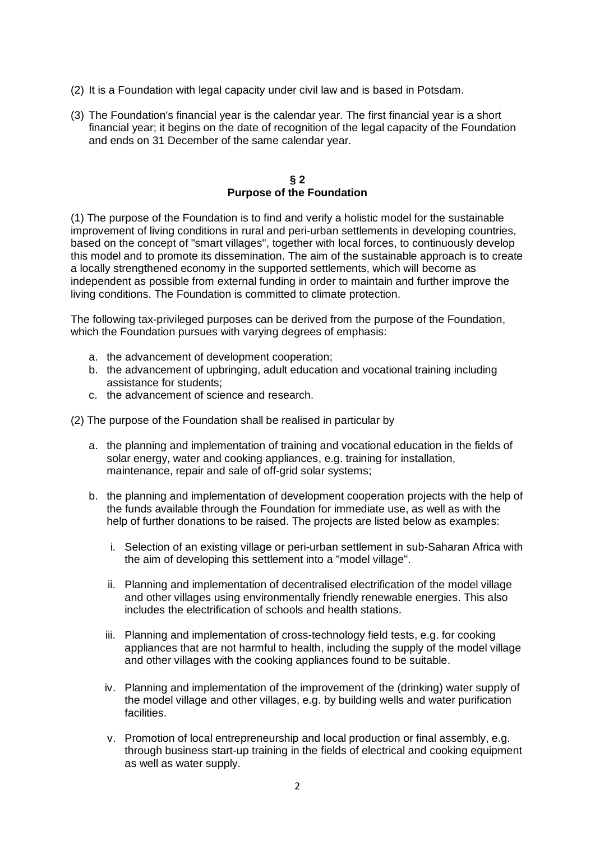- (2) It is a Foundation with legal capacity under civil law and is based in Potsdam.
- (3) The Foundation's financial year is the calendar year. The first financial year is a short financial year; it begins on the date of recognition of the legal capacity of the Foundation and ends on 31 December of the same calendar year.

#### **§ 2 Purpose of the Foundation**

(1) The purpose of the Foundation is to find and verify a holistic model for the sustainable improvement of living conditions in rural and peri-urban settlements in developing countries, based on the concept of "smart villages", together with local forces, to continuously develop this model and to promote its dissemination. The aim of the sustainable approach is to create a locally strengthened economy in the supported settlements, which will become as independent as possible from external funding in order to maintain and further improve the living conditions. The Foundation is committed to climate protection.

The following tax-privileged purposes can be derived from the purpose of the Foundation, which the Foundation pursues with varying degrees of emphasis:

- a. the advancement of development cooperation;
- b. the advancement of upbringing, adult education and vocational training including assistance for students;
- c. the advancement of science and research.

(2) The purpose of the Foundation shall be realised in particular by

- a. the planning and implementation of training and vocational education in the fields of solar energy, water and cooking appliances, e.g. training for installation, maintenance, repair and sale of off-grid solar systems;
- b. the planning and implementation of development cooperation projects with the help of the funds available through the Foundation for immediate use, as well as with the help of further donations to be raised. The projects are listed below as examples:
	- i. Selection of an existing village or peri-urban settlement in sub-Saharan Africa with the aim of developing this settlement into a "model village".
	- ii. Planning and implementation of decentralised electrification of the model village and other villages using environmentally friendly renewable energies. This also includes the electrification of schools and health stations.
	- iii. Planning and implementation of cross-technology field tests, e.g. for cooking appliances that are not harmful to health, including the supply of the model village and other villages with the cooking appliances found to be suitable.
	- iv. Planning and implementation of the improvement of the (drinking) water supply of the model village and other villages, e.g. by building wells and water purification facilities.
	- v. Promotion of local entrepreneurship and local production or final assembly, e.g. through business start-up training in the fields of electrical and cooking equipment as well as water supply.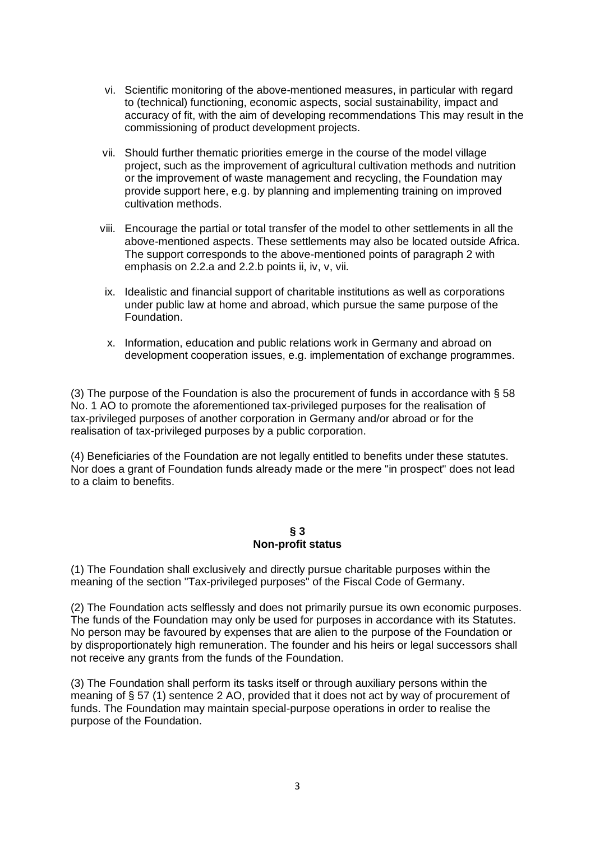- vi. Scientific monitoring of the above-mentioned measures, in particular with regard to (technical) functioning, economic aspects, social sustainability, impact and accuracy of fit, with the aim of developing recommendations This may result in the commissioning of product development projects.
- vii. Should further thematic priorities emerge in the course of the model village project, such as the improvement of agricultural cultivation methods and nutrition or the improvement of waste management and recycling, the Foundation may provide support here, e.g. by planning and implementing training on improved cultivation methods.
- viii. Encourage the partial or total transfer of the model to other settlements in all the above-mentioned aspects. These settlements may also be located outside Africa. The support corresponds to the above-mentioned points of paragraph 2 with emphasis on 2.2.a and 2.2.b points ii, iv, v, vii.
- ix. Idealistic and financial support of charitable institutions as well as corporations under public law at home and abroad, which pursue the same purpose of the Foundation.
- x. Information, education and public relations work in Germany and abroad on development cooperation issues, e.g. implementation of exchange programmes.

(3) The purpose of the Foundation is also the procurement of funds in accordance with § 58 No. 1 AO to promote the aforementioned tax-privileged purposes for the realisation of tax-privileged purposes of another corporation in Germany and/or abroad or for the realisation of tax-privileged purposes by a public corporation.

(4) Beneficiaries of the Foundation are not legally entitled to benefits under these statutes. Nor does a grant of Foundation funds already made or the mere "in prospect" does not lead to a claim to benefits.

#### **§ 3 Non-profit status**

(1) The Foundation shall exclusively and directly pursue charitable purposes within the meaning of the section "Tax-privileged purposes" of the Fiscal Code of Germany.

(2) The Foundation acts selflessly and does not primarily pursue its own economic purposes. The funds of the Foundation may only be used for purposes in accordance with its Statutes. No person may be favoured by expenses that are alien to the purpose of the Foundation or by disproportionately high remuneration. The founder and his heirs or legal successors shall not receive any grants from the funds of the Foundation.

(3) The Foundation shall perform its tasks itself or through auxiliary persons within the meaning of § 57 (1) sentence 2 AO, provided that it does not act by way of procurement of funds. The Foundation may maintain special-purpose operations in order to realise the purpose of the Foundation.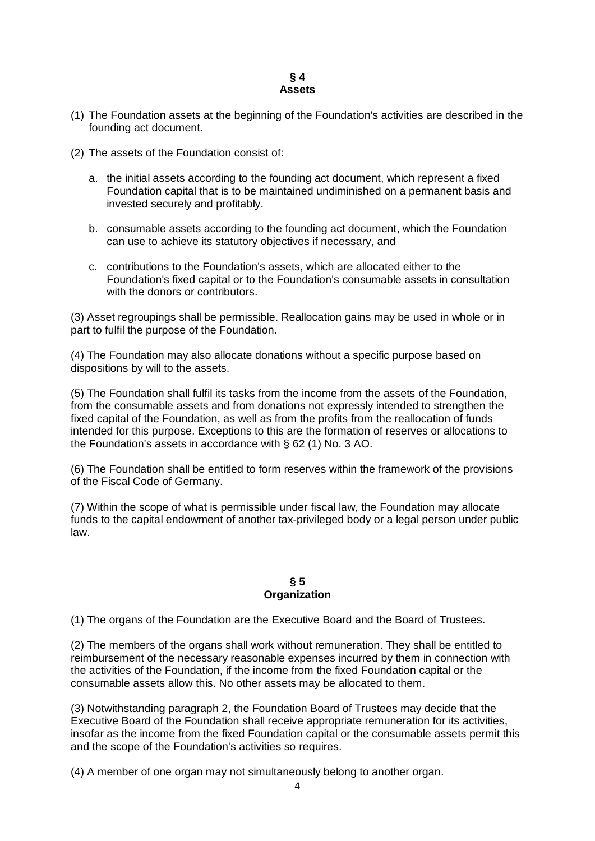#### **§ 4 Assets**

- (1) The Foundation assets at the beginning of the Foundation's activities are described in the founding act document.
- (2) The assets of the Foundation consist of:
	- a. the initial assets according to the founding act document, which represent a fixed Foundation capital that is to be maintained undiminished on a permanent basis and invested securely and profitably.
	- b. consumable assets according to the founding act document, which the Foundation can use to achieve its statutory objectives if necessary, and
	- c. contributions to the Foundation's assets, which are allocated either to the Foundation's fixed capital or to the Foundation's consumable assets in consultation with the donors or contributors.

(3) Asset regroupings shall be permissible. Reallocation gains may be used in whole or in part to fulfil the purpose of the Foundation.

(4) The Foundation may also allocate donations without a specific purpose based on dispositions by will to the assets.

(5) The Foundation shall fulfil its tasks from the income from the assets of the Foundation, from the consumable assets and from donations not expressly intended to strengthen the fixed capital of the Foundation, as well as from the profits from the reallocation of funds intended for this purpose. Exceptions to this are the formation of reserves or allocations to the Foundation's assets in accordance with § 62 (1) No. 3 AO.

(6) The Foundation shall be entitled to form reserves within the framework of the provisions of the Fiscal Code of Germany.

(7) Within the scope of what is permissible under fiscal law, the Foundation may allocate funds to the capital endowment of another tax-privileged body or a legal person under public law.

#### **§ 5 Organization**

(1) The organs of the Foundation are the Executive Board and the Board of Trustees.

(2) The members of the organs shall work without remuneration. They shall be entitled to reimbursement of the necessary reasonable expenses incurred by them in connection with the activities of the Foundation, if the income from the fixed Foundation capital or the consumable assets allow this. No other assets may be allocated to them.

(3) Notwithstanding paragraph 2, the Foundation Board of Trustees may decide that the Executive Board of the Foundation shall receive appropriate remuneration for its activities, insofar as the income from the fixed Foundation capital or the consumable assets permit this and the scope of the Foundation's activities so requires.

(4) A member of one organ may not simultaneously belong to another organ.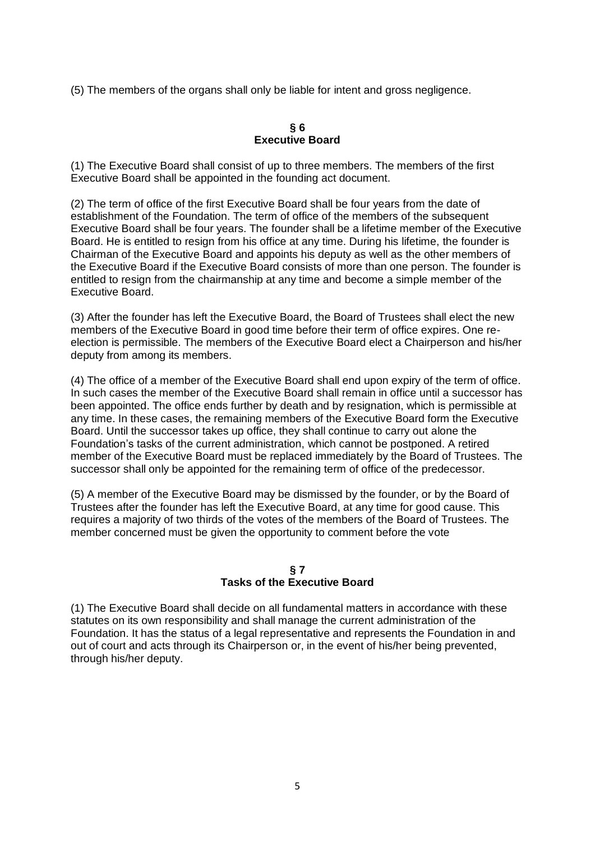(5) The members of the organs shall only be liable for intent and gross negligence.

#### **§ 6 Executive Board**

(1) The Executive Board shall consist of up to three members. The members of the first Executive Board shall be appointed in the founding act document.

(2) The term of office of the first Executive Board shall be four years from the date of establishment of the Foundation. The term of office of the members of the subsequent Executive Board shall be four years. The founder shall be a lifetime member of the Executive Board. He is entitled to resign from his office at any time. During his lifetime, the founder is Chairman of the Executive Board and appoints his deputy as well as the other members of the Executive Board if the Executive Board consists of more than one person. The founder is entitled to resign from the chairmanship at any time and become a simple member of the Executive Board.

(3) After the founder has left the Executive Board, the Board of Trustees shall elect the new members of the Executive Board in good time before their term of office expires. One reelection is permissible. The members of the Executive Board elect a Chairperson and his/her deputy from among its members.

(4) The office of a member of the Executive Board shall end upon expiry of the term of office. In such cases the member of the Executive Board shall remain in office until a successor has been appointed. The office ends further by death and by resignation, which is permissible at any time. In these cases, the remaining members of the Executive Board form the Executive Board. Until the successor takes up office, they shall continue to carry out alone the Foundation's tasks of the current administration, which cannot be postponed. A retired member of the Executive Board must be replaced immediately by the Board of Trustees. The successor shall only be appointed for the remaining term of office of the predecessor.

(5) A member of the Executive Board may be dismissed by the founder, or by the Board of Trustees after the founder has left the Executive Board, at any time for good cause. This requires a majority of two thirds of the votes of the members of the Board of Trustees. The member concerned must be given the opportunity to comment before the vote

## **§ 7 Tasks of the Executive Board**

(1) The Executive Board shall decide on all fundamental matters in accordance with these statutes on its own responsibility and shall manage the current administration of the Foundation. It has the status of a legal representative and represents the Foundation in and out of court and acts through its Chairperson or, in the event of his/her being prevented, through his/her deputy.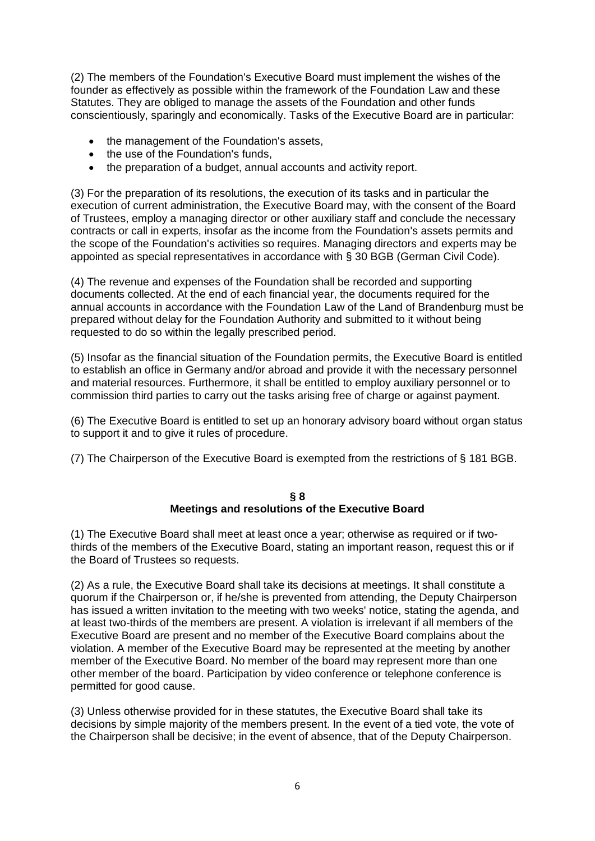(2) The members of the Foundation's Executive Board must implement the wishes of the founder as effectively as possible within the framework of the Foundation Law and these Statutes. They are obliged to manage the assets of the Foundation and other funds conscientiously, sparingly and economically. Tasks of the Executive Board are in particular:

- the management of the Foundation's assets.
- the use of the Foundation's funds,
- the preparation of a budget, annual accounts and activity report.

(3) For the preparation of its resolutions, the execution of its tasks and in particular the execution of current administration, the Executive Board may, with the consent of the Board of Trustees, employ a managing director or other auxiliary staff and conclude the necessary contracts or call in experts, insofar as the income from the Foundation's assets permits and the scope of the Foundation's activities so requires. Managing directors and experts may be appointed as special representatives in accordance with § 30 BGB (German Civil Code).

(4) The revenue and expenses of the Foundation shall be recorded and supporting documents collected. At the end of each financial year, the documents required for the annual accounts in accordance with the Foundation Law of the Land of Brandenburg must be prepared without delay for the Foundation Authority and submitted to it without being requested to do so within the legally prescribed period.

(5) Insofar as the financial situation of the Foundation permits, the Executive Board is entitled to establish an office in Germany and/or abroad and provide it with the necessary personnel and material resources. Furthermore, it shall be entitled to employ auxiliary personnel or to commission third parties to carry out the tasks arising free of charge or against payment.

(6) The Executive Board is entitled to set up an honorary advisory board without organ status to support it and to give it rules of procedure.

(7) The Chairperson of the Executive Board is exempted from the restrictions of § 181 BGB.

#### **§ 8 Meetings and resolutions of the Executive Board**

(1) The Executive Board shall meet at least once a year; otherwise as required or if twothirds of the members of the Executive Board, stating an important reason, request this or if the Board of Trustees so requests.

(2) As a rule, the Executive Board shall take its decisions at meetings. It shall constitute a quorum if the Chairperson or, if he/she is prevented from attending, the Deputy Chairperson has issued a written invitation to the meeting with two weeks' notice, stating the agenda, and at least two-thirds of the members are present. A violation is irrelevant if all members of the Executive Board are present and no member of the Executive Board complains about the violation. A member of the Executive Board may be represented at the meeting by another member of the Executive Board. No member of the board may represent more than one other member of the board. Participation by video conference or telephone conference is permitted for good cause.

(3) Unless otherwise provided for in these statutes, the Executive Board shall take its decisions by simple majority of the members present. In the event of a tied vote, the vote of the Chairperson shall be decisive; in the event of absence, that of the Deputy Chairperson.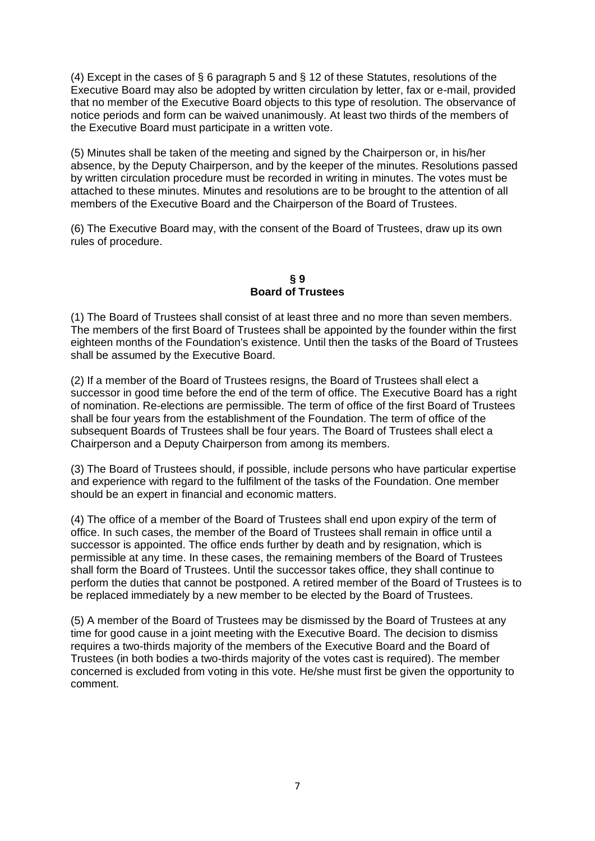(4) Except in the cases of § 6 paragraph 5 and § 12 of these Statutes, resolutions of the Executive Board may also be adopted by written circulation by letter, fax or e-mail, provided that no member of the Executive Board objects to this type of resolution. The observance of notice periods and form can be waived unanimously. At least two thirds of the members of the Executive Board must participate in a written vote.

(5) Minutes shall be taken of the meeting and signed by the Chairperson or, in his/her absence, by the Deputy Chairperson, and by the keeper of the minutes. Resolutions passed by written circulation procedure must be recorded in writing in minutes. The votes must be attached to these minutes. Minutes and resolutions are to be brought to the attention of all members of the Executive Board and the Chairperson of the Board of Trustees.

(6) The Executive Board may, with the consent of the Board of Trustees, draw up its own rules of procedure.

**§ 9 Board of Trustees**

(1) The Board of Trustees shall consist of at least three and no more than seven members. The members of the first Board of Trustees shall be appointed by the founder within the first eighteen months of the Foundation's existence. Until then the tasks of the Board of Trustees shall be assumed by the Executive Board.

(2) If a member of the Board of Trustees resigns, the Board of Trustees shall elect a successor in good time before the end of the term of office. The Executive Board has a right of nomination. Re-elections are permissible. The term of office of the first Board of Trustees shall be four years from the establishment of the Foundation. The term of office of the subsequent Boards of Trustees shall be four years. The Board of Trustees shall elect a Chairperson and a Deputy Chairperson from among its members.

(3) The Board of Trustees should, if possible, include persons who have particular expertise and experience with regard to the fulfilment of the tasks of the Foundation. One member should be an expert in financial and economic matters.

(4) The office of a member of the Board of Trustees shall end upon expiry of the term of office. In such cases, the member of the Board of Trustees shall remain in office until a successor is appointed. The office ends further by death and by resignation, which is permissible at any time. In these cases, the remaining members of the Board of Trustees shall form the Board of Trustees. Until the successor takes office, they shall continue to perform the duties that cannot be postponed. A retired member of the Board of Trustees is to be replaced immediately by a new member to be elected by the Board of Trustees.

(5) A member of the Board of Trustees may be dismissed by the Board of Trustees at any time for good cause in a joint meeting with the Executive Board. The decision to dismiss requires a two-thirds majority of the members of the Executive Board and the Board of Trustees (in both bodies a two-thirds majority of the votes cast is required). The member concerned is excluded from voting in this vote. He/she must first be given the opportunity to comment.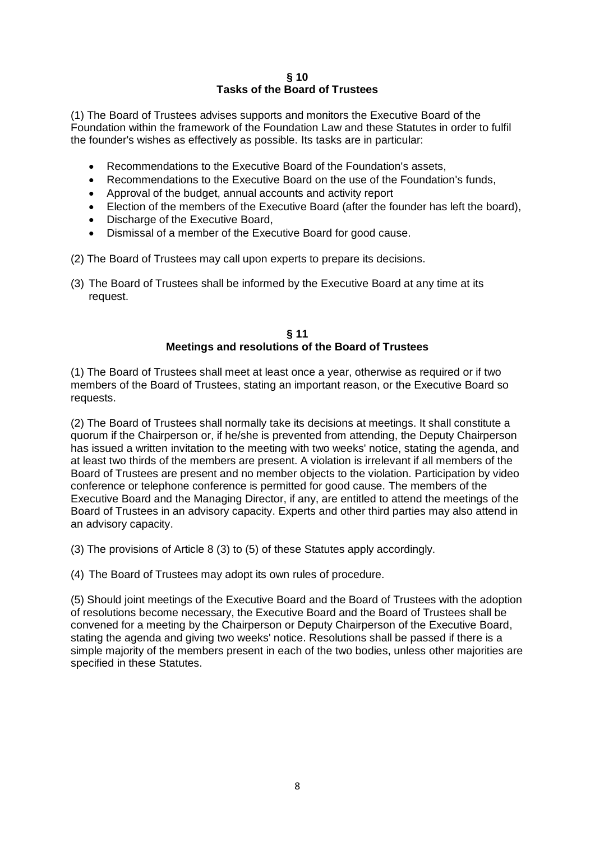## **§ 10 Tasks of the Board of Trustees**

(1) The Board of Trustees advises supports and monitors the Executive Board of the Foundation within the framework of the Foundation Law and these Statutes in order to fulfil the founder's wishes as effectively as possible. Its tasks are in particular:

- Recommendations to the Executive Board of the Foundation's assets,
- Recommendations to the Executive Board on the use of the Foundation's funds,
- Approval of the budget, annual accounts and activity report
- Election of the members of the Executive Board (after the founder has left the board),
- Discharge of the Executive Board,
- Dismissal of a member of the Executive Board for good cause.
- (2) The Board of Trustees may call upon experts to prepare its decisions.
- (3) The Board of Trustees shall be informed by the Executive Board at any time at its request.

## **§ 11 Meetings and resolutions of the Board of Trustees**

(1) The Board of Trustees shall meet at least once a year, otherwise as required or if two members of the Board of Trustees, stating an important reason, or the Executive Board so requests.

(2) The Board of Trustees shall normally take its decisions at meetings. It shall constitute a quorum if the Chairperson or, if he/she is prevented from attending, the Deputy Chairperson has issued a written invitation to the meeting with two weeks' notice, stating the agenda, and at least two thirds of the members are present. A violation is irrelevant if all members of the Board of Trustees are present and no member objects to the violation. Participation by video conference or telephone conference is permitted for good cause. The members of the Executive Board and the Managing Director, if any, are entitled to attend the meetings of the Board of Trustees in an advisory capacity. Experts and other third parties may also attend in an advisory capacity.

(3) The provisions of Article 8 (3) to (5) of these Statutes apply accordingly.

(4) The Board of Trustees may adopt its own rules of procedure.

(5) Should joint meetings of the Executive Board and the Board of Trustees with the adoption of resolutions become necessary, the Executive Board and the Board of Trustees shall be convened for a meeting by the Chairperson or Deputy Chairperson of the Executive Board, stating the agenda and giving two weeks' notice. Resolutions shall be passed if there is a simple majority of the members present in each of the two bodies, unless other majorities are specified in these Statutes.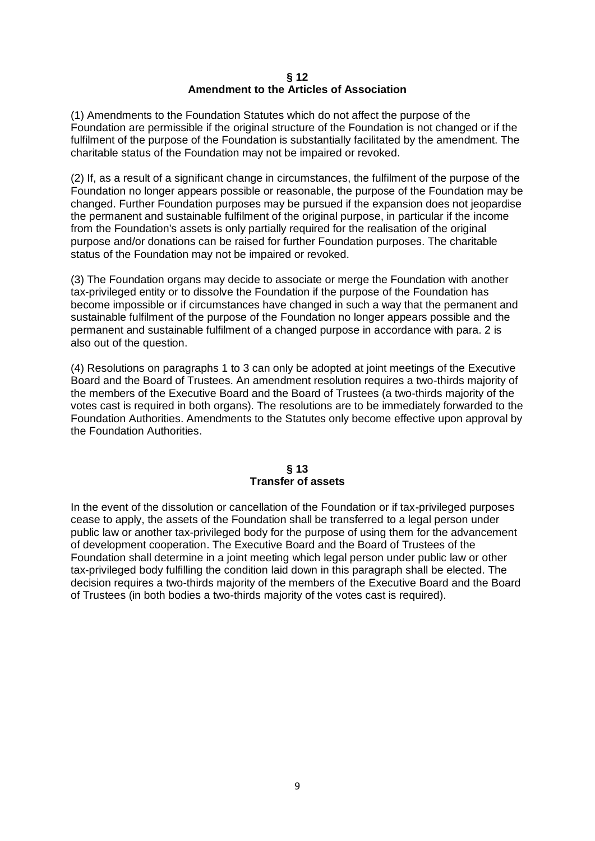#### **§ 12 Amendment to the Articles of Association**

(1) Amendments to the Foundation Statutes which do not affect the purpose of the Foundation are permissible if the original structure of the Foundation is not changed or if the fulfilment of the purpose of the Foundation is substantially facilitated by the amendment. The charitable status of the Foundation may not be impaired or revoked.

(2) If, as a result of a significant change in circumstances, the fulfilment of the purpose of the Foundation no longer appears possible or reasonable, the purpose of the Foundation may be changed. Further Foundation purposes may be pursued if the expansion does not jeopardise the permanent and sustainable fulfilment of the original purpose, in particular if the income from the Foundation's assets is only partially required for the realisation of the original purpose and/or donations can be raised for further Foundation purposes. The charitable status of the Foundation may not be impaired or revoked.

(3) The Foundation organs may decide to associate or merge the Foundation with another tax-privileged entity or to dissolve the Foundation if the purpose of the Foundation has become impossible or if circumstances have changed in such a way that the permanent and sustainable fulfilment of the purpose of the Foundation no longer appears possible and the permanent and sustainable fulfilment of a changed purpose in accordance with para. 2 is also out of the question.

(4) Resolutions on paragraphs 1 to 3 can only be adopted at joint meetings of the Executive Board and the Board of Trustees. An amendment resolution requires a two-thirds majority of the members of the Executive Board and the Board of Trustees (a two-thirds majority of the votes cast is required in both organs). The resolutions are to be immediately forwarded to the Foundation Authorities. Amendments to the Statutes only become effective upon approval by the Foundation Authorities.

#### **§ 13 Transfer of assets**

In the event of the dissolution or cancellation of the Foundation or if tax-privileged purposes cease to apply, the assets of the Foundation shall be transferred to a legal person under public law or another tax-privileged body for the purpose of using them for the advancement of development cooperation. The Executive Board and the Board of Trustees of the Foundation shall determine in a joint meeting which legal person under public law or other tax-privileged body fulfilling the condition laid down in this paragraph shall be elected. The decision requires a two-thirds majority of the members of the Executive Board and the Board of Trustees (in both bodies a two-thirds majority of the votes cast is required).